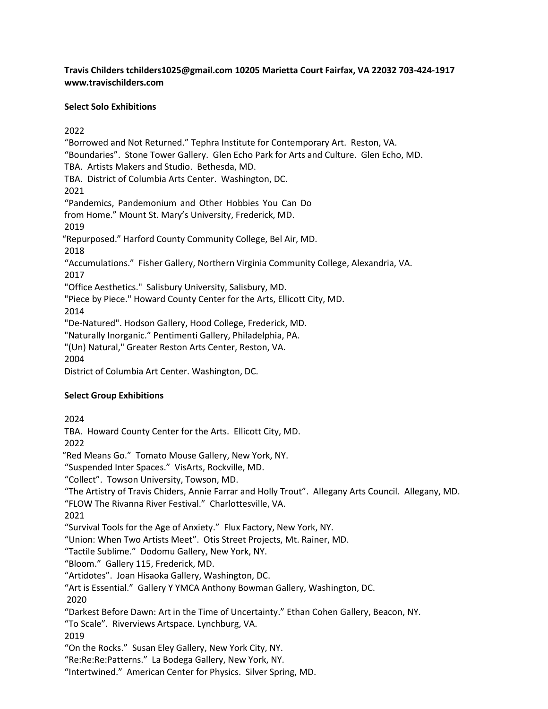# **Travis Childers [tchilders1025@gmail.com 1](mailto:tchilders1025@gmail.com)0205 Marietta Court Fairfax, VA 22032 703-424-1917 [www.travischilders.com](http://www.travischilders.com/)**

### **Select Solo Exhibitions**

2022

"Borrowed and Not Returned." Tephra Institute for Contemporary Art. Reston, VA. "Boundaries". Stone Tower Gallery. Glen Echo Park for Arts and Culture. Glen Echo, MD. TBA. Artists Makers and Studio. Bethesda, MD. TBA. District of Columbia Arts Center. Washington, DC. 2021 "Pandemics, Pandemonium and Other Hobbies You Can Do from Home." Mount St. Mary's University, Frederick, MD. 2019 "Repurposed." Harford County Community College, Bel Air, MD. 2018 "Accumulations." Fisher Gallery, Northern Virginia Community College, Alexandria, VA. 2017 "Office Aesthetics." Salisbury University, Salisbury, MD. "Piece by Piece." Howard County Center for the Arts, Ellicott City, MD. 2014 "De-Natured". Hodson Gallery, Hood College, Frederick, MD. "Naturally Inorganic." Pentimenti Gallery, Philadelphia, PA. "(Un) Natural," Greater Reston Arts Center, Reston, VA. 2004 District of Columbia Art Center. Washington, DC.

# **Select Group Exhibitions**

2024 TBA. Howard County Center for the Arts. Ellicott City, MD. 2022 "Red Means Go." Tomato Mouse Gallery, New York, NY. "Suspended Inter Spaces." VisArts, Rockville, MD. "Collect". Towson University, Towson, MD. "The Artistry of Travis Chiders, Annie Farrar and Holly Trout". Allegany Arts Council. Allegany, MD. "FLOW The Rivanna River Festival." Charlottesville, VA. 2021 "Survival Tools for the Age of Anxiety." Flux Factory, New York, NY. "Union: When Two Artists Meet". Otis Street Projects, Mt. Rainer, MD. "Tactile Sublime." Dodomu Gallery, New York, NY. "Bloom." Gallery 115, Frederick, MD. "Artidotes". Joan Hisaoka Gallery, Washington, DC. "Art is Essential." Gallery Y YMCA Anthony Bowman Gallery, Washington, DC. 2020 "Darkest Before Dawn: Art in the Time of Uncertainty." Ethan Cohen Gallery, Beacon, NY. "To Scale". Riverviews Artspace. Lynchburg, VA. 2019 "On the Rocks." Susan Eley Gallery, New York City, NY. "Re:Re:Re:Patterns." La Bodega Gallery, New York, NY. "Intertwined." American Center for Physics. Silver Spring, MD.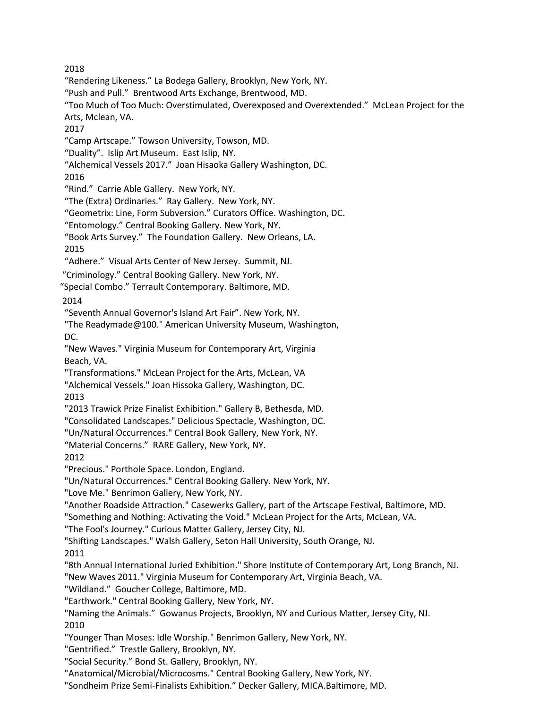2018

"Rendering Likeness." La Bodega Gallery, Brooklyn, New York, NY.

"Push and Pull." Brentwood Arts Exchange, Brentwood, MD.

"Too Much of Too Much: Overstimulated, Overexposed and Overextended." McLean Project for the Arts, Mclean, VA.

2017

"Camp Artscape." Towson University, Towson, MD.

"Duality". Islip Art Museum. East Islip, NY.

"Alchemical Vessels 2017." Joan Hisaoka Gallery Washington, DC.

2016

"Rind." Carrie Able Gallery. New York, NY.

"The (Extra) Ordinaries." Ray Gallery. New York, NY.

"Geometrix: Line, Form Subversion." Curators Office. Washington, DC.

"Entomology." Central Booking Gallery. New York, NY.

"Book Arts Survey." The Foundation Gallery. New Orleans, LA.

2015

"Adhere." Visual Arts Center of New Jersey. Summit, NJ.

"Criminology." Central Booking Gallery. New York, NY.

"Special Combo." Terrault Contemporary. Baltimore, MD.

2014

"Seventh Annual Governor's Island Art Fair". New York, NY.

"The Readymade@100." American University Museum, Washington, DC.

"New Waves." Virginia Museum for Contemporary Art, Virginia Beach, VA.

"Transformations." McLean Project for the Arts, McLean, VA

"Alchemical Vessels." Joan Hissoka Gallery, Washington, DC. 2013

"2013 Trawick Prize Finalist Exhibition." Gallery B, Bethesda, MD.

"Consolidated Landscapes." Delicious Spectacle, Washington, DC.

"Un/Natural Occurrences." Central Book Gallery, New York, NY.

"Material Concerns." RARE Gallery, New York, NY.

2012

"Precious." Porthole Space. London, England.

"Un/Natural Occurrences." Central Booking Gallery. New York, NY.

"Love Me." Benrimon Gallery, New York, NY.

"Another Roadside Attraction." Casewerks Gallery, part of the Artscape Festival, Baltimore, MD.

"Something and Nothing: Activating the Void." McLean Project for the Arts, McLean, VA.

"The Fool's Journey." Curious Matter Gallery, Jersey City, NJ.

"Shifting Landscapes." Walsh Gallery, Seton Hall University, South Orange, NJ.

2011

"8th Annual International Juried Exhibition." Shore Institute of Contemporary Art, Long Branch, NJ.

"New Waves 2011." Virginia Museum for Contemporary Art, Virginia Beach, VA.

"Wildland." Goucher College, Baltimore, MD.

"Earthwork." Central Booking Gallery, New York, NY.

"Naming the Animals." Gowanus Projects, Brooklyn, NY and Curious Matter, Jersey City, NJ. 2010

"Younger Than Moses: Idle Worship." Benrimon Gallery, New York, NY.

"Gentrified." Trestle Gallery, Brooklyn, NY.

"Social Security." Bond St. Gallery, Brooklyn, NY.

"Anatomical/Microbial/Microcosms." Central Booking Gallery, New York, NY.

"Sondheim Prize Semi-Finalists Exhibition." Decker Gallery, MICA.Baltimore, MD.